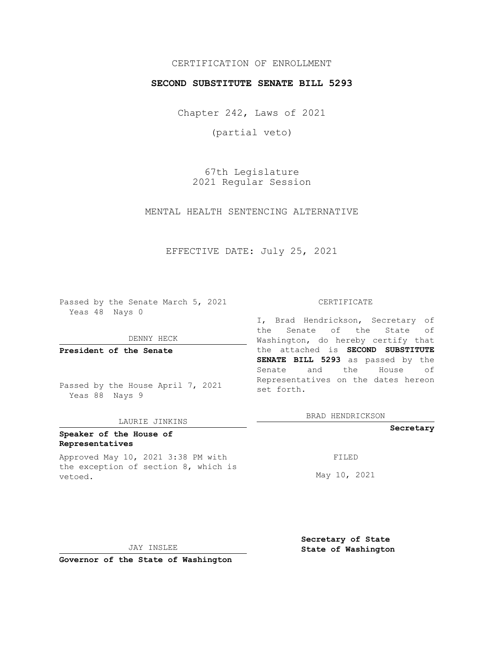# CERTIFICATION OF ENROLLMENT

## **SECOND SUBSTITUTE SENATE BILL 5293**

Chapter 242, Laws of 2021

(partial veto)

67th Legislature 2021 Regular Session

MENTAL HEALTH SENTENCING ALTERNATIVE

# EFFECTIVE DATE: July 25, 2021

Passed by the Senate March 5, 2021 Yeas 48 Nays 0

DENNY HECK

**President of the Senate**

Passed by the House April 7, 2021 Yeas 88 Nays 9

### LAURIE JINKINS

# **Speaker of the House of Representatives**

Approved May 10, 2021 3:38 PM with the exception of section 8, which is vetoed.

#### CERTIFICATE

I, Brad Hendrickson, Secretary of the Senate of the State of Washington, do hereby certify that the attached is **SECOND SUBSTITUTE SENATE BILL 5293** as passed by the Senate and the House of Representatives on the dates hereon set forth.

BRAD HENDRICKSON

### **Secretary**

FILED

May 10, 2021

JAY INSLEE

**Secretary of State State of Washington**

**Governor of the State of Washington**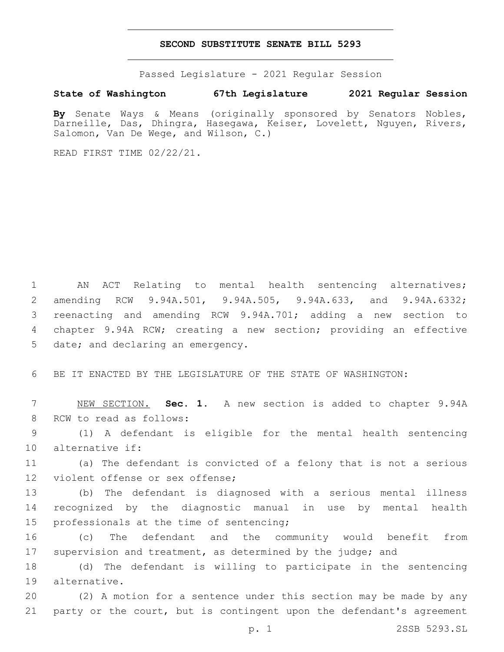### **SECOND SUBSTITUTE SENATE BILL 5293**

Passed Legislature - 2021 Regular Session

**State of Washington 67th Legislature 2021 Regular Session**

**By** Senate Ways & Means (originally sponsored by Senators Nobles, Darneille, Das, Dhingra, Hasegawa, Keiser, Lovelett, Nguyen, Rivers, Salomon, Van De Wege, and Wilson, C.)

READ FIRST TIME 02/22/21.

 AN ACT Relating to mental health sentencing alternatives; amending RCW 9.94A.501, 9.94A.505, 9.94A.633, and 9.94A.6332; reenacting and amending RCW 9.94A.701; adding a new section to chapter 9.94A RCW; creating a new section; providing an effective 5 date; and declaring an emergency.

6 BE IT ENACTED BY THE LEGISLATURE OF THE STATE OF WASHINGTON:

7 NEW SECTION. **Sec. 1.** A new section is added to chapter 9.94A 8 RCW to read as follows:

9 (1) A defendant is eligible for the mental health sentencing 10 alternative if:

11 (a) The defendant is convicted of a felony that is not a serious 12 violent offense or sex offense;

13 (b) The defendant is diagnosed with a serious mental illness 14 recognized by the diagnostic manual in use by mental health 15 professionals at the time of sentencing;

16 (c) The defendant and the community would benefit from 17 supervision and treatment, as determined by the judge; and

18 (d) The defendant is willing to participate in the sentencing 19 alternative.

20 (2) A motion for a sentence under this section may be made by any 21 party or the court, but is contingent upon the defendant's agreement

p. 1 2SSB 5293.SL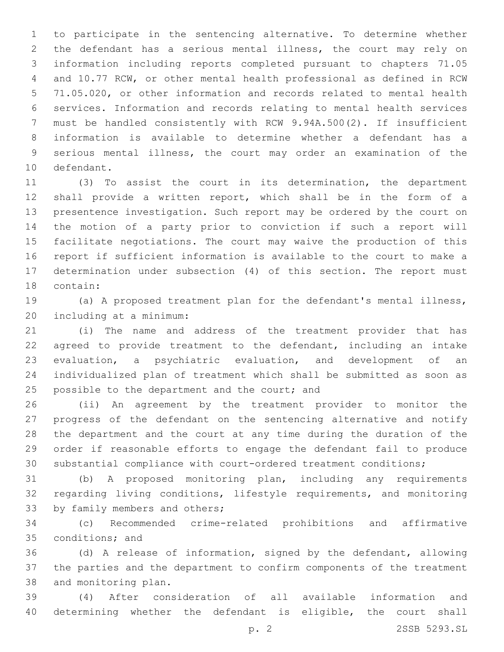to participate in the sentencing alternative. To determine whether the defendant has a serious mental illness, the court may rely on information including reports completed pursuant to chapters 71.05 and 10.77 RCW, or other mental health professional as defined in RCW 71.05.020, or other information and records related to mental health services. Information and records relating to mental health services must be handled consistently with RCW 9.94A.500(2). If insufficient information is available to determine whether a defendant has a serious mental illness, the court may order an examination of the 10 defendant.

 (3) To assist the court in its determination, the department shall provide a written report, which shall be in the form of a presentence investigation. Such report may be ordered by the court on the motion of a party prior to conviction if such a report will facilitate negotiations. The court may waive the production of this report if sufficient information is available to the court to make a determination under subsection (4) of this section. The report must 18 contain:

 (a) A proposed treatment plan for the defendant's mental illness, including at a minimum:20

 (i) The name and address of the treatment provider that has agreed to provide treatment to the defendant, including an intake evaluation, a psychiatric evaluation, and development of an individualized plan of treatment which shall be submitted as soon as 25 possible to the department and the court; and

 (ii) An agreement by the treatment provider to monitor the progress of the defendant on the sentencing alternative and notify the department and the court at any time during the duration of the order if reasonable efforts to engage the defendant fail to produce substantial compliance with court-ordered treatment conditions;

 (b) A proposed monitoring plan, including any requirements regarding living conditions, lifestyle requirements, and monitoring 33 by family members and others;

 (c) Recommended crime-related prohibitions and affirmative 35 conditions; and

 (d) A release of information, signed by the defendant, allowing the parties and the department to confirm components of the treatment 38 and monitoring plan.

 (4) After consideration of all available information and determining whether the defendant is eligible, the court shall

p. 2 2SSB 5293.SL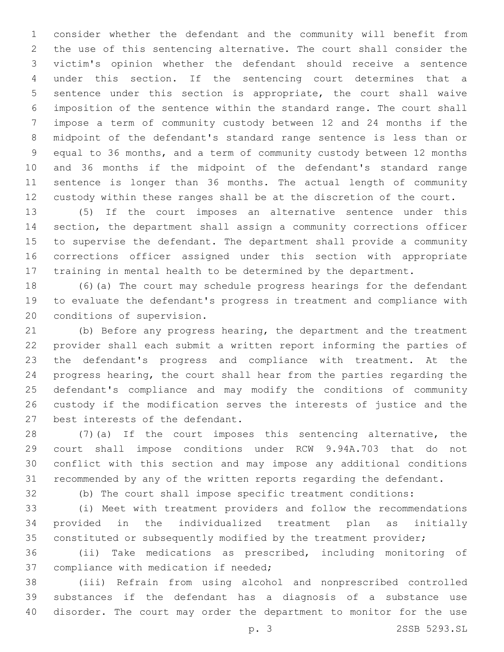consider whether the defendant and the community will benefit from the use of this sentencing alternative. The court shall consider the victim's opinion whether the defendant should receive a sentence under this section. If the sentencing court determines that a sentence under this section is appropriate, the court shall waive imposition of the sentence within the standard range. The court shall impose a term of community custody between 12 and 24 months if the midpoint of the defendant's standard range sentence is less than or equal to 36 months, and a term of community custody between 12 months and 36 months if the midpoint of the defendant's standard range sentence is longer than 36 months. The actual length of community custody within these ranges shall be at the discretion of the court.

 (5) If the court imposes an alternative sentence under this section, the department shall assign a community corrections officer to supervise the defendant. The department shall provide a community corrections officer assigned under this section with appropriate training in mental health to be determined by the department.

 (6)(a) The court may schedule progress hearings for the defendant to evaluate the defendant's progress in treatment and compliance with 20 conditions of supervision.

 (b) Before any progress hearing, the department and the treatment provider shall each submit a written report informing the parties of the defendant's progress and compliance with treatment. At the progress hearing, the court shall hear from the parties regarding the defendant's compliance and may modify the conditions of community custody if the modification serves the interests of justice and the 27 best interests of the defendant.

 (7)(a) If the court imposes this sentencing alternative, the court shall impose conditions under RCW 9.94A.703 that do not conflict with this section and may impose any additional conditions recommended by any of the written reports regarding the defendant.

(b) The court shall impose specific treatment conditions:

 (i) Meet with treatment providers and follow the recommendations provided in the individualized treatment plan as initially constituted or subsequently modified by the treatment provider;

 (ii) Take medications as prescribed, including monitoring of 37 compliance with medication if needed;

 (iii) Refrain from using alcohol and nonprescribed controlled substances if the defendant has a diagnosis of a substance use disorder. The court may order the department to monitor for the use

p. 3 2SSB 5293.SL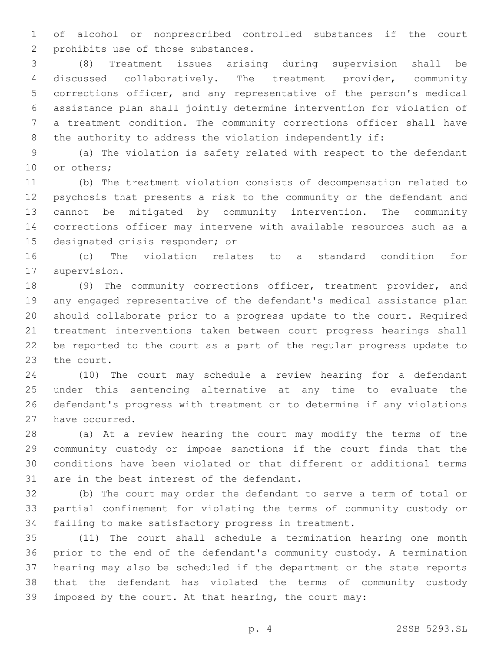of alcohol or nonprescribed controlled substances if the court 2 prohibits use of those substances.

 (8) Treatment issues arising during supervision shall be discussed collaboratively. The treatment provider, community corrections officer, and any representative of the person's medical assistance plan shall jointly determine intervention for violation of a treatment condition. The community corrections officer shall have 8 the authority to address the violation independently if:

 (a) The violation is safety related with respect to the defendant 10 or others;

 (b) The treatment violation consists of decompensation related to psychosis that presents a risk to the community or the defendant and cannot be mitigated by community intervention. The community corrections officer may intervene with available resources such as a 15 designated crisis responder; or

 (c) The violation relates to a standard condition for 17 supervision.

 (9) The community corrections officer, treatment provider, and any engaged representative of the defendant's medical assistance plan should collaborate prior to a progress update to the court. Required treatment interventions taken between court progress hearings shall be reported to the court as a part of the regular progress update to 23 the court.

 (10) The court may schedule a review hearing for a defendant under this sentencing alternative at any time to evaluate the defendant's progress with treatment or to determine if any violations 27 have occurred.

 (a) At a review hearing the court may modify the terms of the community custody or impose sanctions if the court finds that the conditions have been violated or that different or additional terms 31 are in the best interest of the defendant.

 (b) The court may order the defendant to serve a term of total or partial confinement for violating the terms of community custody or failing to make satisfactory progress in treatment.

 (11) The court shall schedule a termination hearing one month prior to the end of the defendant's community custody. A termination hearing may also be scheduled if the department or the state reports that the defendant has violated the terms of community custody imposed by the court. At that hearing, the court may: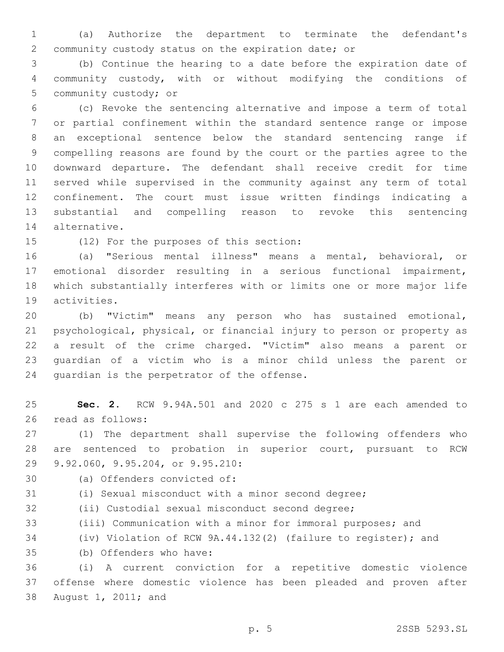(a) Authorize the department to terminate the defendant's community custody status on the expiration date; or

 (b) Continue the hearing to a date before the expiration date of community custody, with or without modifying the conditions of 5 community custody; or

 (c) Revoke the sentencing alternative and impose a term of total or partial confinement within the standard sentence range or impose an exceptional sentence below the standard sentencing range if compelling reasons are found by the court or the parties agree to the downward departure. The defendant shall receive credit for time served while supervised in the community against any term of total confinement. The court must issue written findings indicating a substantial and compelling reason to revoke this sentencing 14 alternative.

15 (12) For the purposes of this section:

 (a) "Serious mental illness" means a mental, behavioral, or emotional disorder resulting in a serious functional impairment, which substantially interferes with or limits one or more major life 19 activities.

 (b) "Victim" means any person who has sustained emotional, psychological, physical, or financial injury to person or property as a result of the crime charged. "Victim" also means a parent or guardian of a victim who is a minor child unless the parent or 24 quardian is the perpetrator of the offense.

 **Sec. 2.** RCW 9.94A.501 and 2020 c 275 s 1 are each amended to 26 read as follows:

 (1) The department shall supervise the following offenders who are sentenced to probation in superior court, pursuant to RCW 29 9.92.060, 9.95.204, or 9.95.210:

30 (a) Offenders convicted of: (i) Sexual misconduct with a minor second degree;

(ii) Custodial sexual misconduct second degree;

(iii) Communication with a minor for immoral purposes; and

(iv) Violation of RCW 9A.44.132(2) (failure to register); and

(b) Offenders who have:35

 (i) A current conviction for a repetitive domestic violence offense where domestic violence has been pleaded and proven after 38 August 1, 2011; and

p. 5 2SSB 5293.SL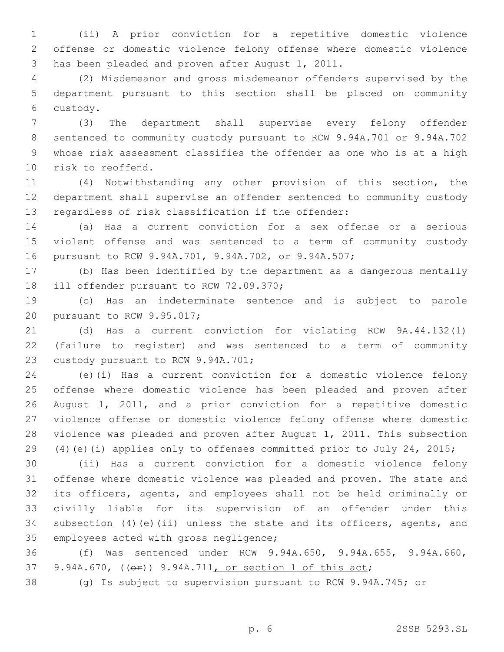(ii) A prior conviction for a repetitive domestic violence offense or domestic violence felony offense where domestic violence 3 has been pleaded and proven after August 1, 2011.

 (2) Misdemeanor and gross misdemeanor offenders supervised by the department pursuant to this section shall be placed on community custody.6

 (3) The department shall supervise every felony offender sentenced to community custody pursuant to RCW 9.94A.701 or 9.94A.702 whose risk assessment classifies the offender as one who is at a high 10 risk to reoffend.

 (4) Notwithstanding any other provision of this section, the department shall supervise an offender sentenced to community custody regardless of risk classification if the offender:

 (a) Has a current conviction for a sex offense or a serious violent offense and was sentenced to a term of community custody pursuant to RCW 9.94A.701, 9.94A.702, or 9.94A.507;

 (b) Has been identified by the department as a dangerous mentally 18 ill offender pursuant to RCW 72.09.370;

 (c) Has an indeterminate sentence and is subject to parole 20 pursuant to RCW 9.95.017;

 (d) Has a current conviction for violating RCW 9A.44.132(1) (failure to register) and was sentenced to a term of community 23 custody pursuant to RCW 9.94A.701;

 (e)(i) Has a current conviction for a domestic violence felony offense where domestic violence has been pleaded and proven after August 1, 2011, and a prior conviction for a repetitive domestic violence offense or domestic violence felony offense where domestic violence was pleaded and proven after August 1, 2011. This subsection (4)(e)(i) applies only to offenses committed prior to July 24, 2015;

 (ii) Has a current conviction for a domestic violence felony offense where domestic violence was pleaded and proven. The state and its officers, agents, and employees shall not be held criminally or civilly liable for its supervision of an offender under this subsection (4)(e)(ii) unless the state and its officers, agents, and 35 employees acted with gross negligence;

 (f) Was sentenced under RCW 9.94A.650, 9.94A.655, 9.94A.660, 37 9.94A.670, (( $\Theta$ ) 9.94A.711, or section 1 of this act;

(g) Is subject to supervision pursuant to RCW 9.94A.745; or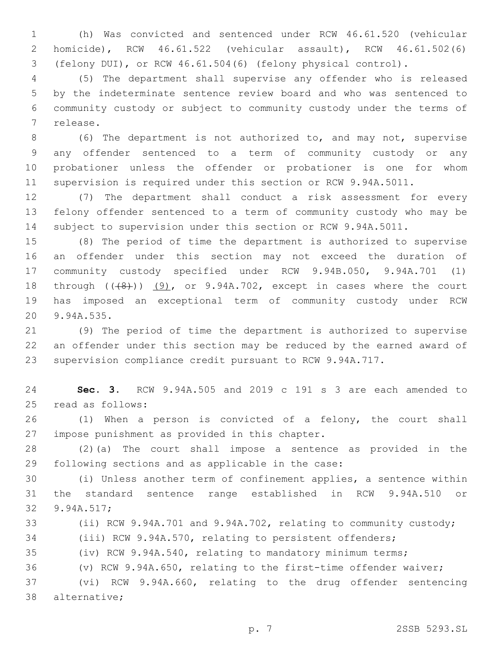(h) Was convicted and sentenced under RCW 46.61.520 (vehicular homicide), RCW 46.61.522 (vehicular assault), RCW 46.61.502(6) (felony DUI), or RCW 46.61.504(6) (felony physical control).

 (5) The department shall supervise any offender who is released by the indeterminate sentence review board and who was sentenced to community custody or subject to community custody under the terms of 7 release.

 (6) The department is not authorized to, and may not, supervise any offender sentenced to a term of community custody or any probationer unless the offender or probationer is one for whom supervision is required under this section or RCW 9.94A.5011.

 (7) The department shall conduct a risk assessment for every felony offender sentenced to a term of community custody who may be subject to supervision under this section or RCW 9.94A.5011.

 (8) The period of time the department is authorized to supervise an offender under this section may not exceed the duration of community custody specified under RCW 9.94B.050, 9.94A.701 (1) 18 through  $((+8+))$   $(9)$ , or 9.94A.702, except in cases where the court has imposed an exceptional term of community custody under RCW 20 9.94A.535.

 (9) The period of time the department is authorized to supervise an offender under this section may be reduced by the earned award of supervision compliance credit pursuant to RCW 9.94A.717.

 **Sec. 3.** RCW 9.94A.505 and 2019 c 191 s 3 are each amended to 25 read as follows:

 (1) When a person is convicted of a felony, the court shall 27 impose punishment as provided in this chapter.

 (2)(a) The court shall impose a sentence as provided in the 29 following sections and as applicable in the case:

 (i) Unless another term of confinement applies, a sentence within the standard sentence range established in RCW 9.94A.510 or 32 9.94A.517;

(ii) RCW 9.94A.701 and 9.94A.702, relating to community custody;

(iii) RCW 9.94A.570, relating to persistent offenders;

(iv) RCW 9.94A.540, relating to mandatory minimum terms;

(v) RCW 9.94A.650, relating to the first-time offender waiver;

 (vi) RCW 9.94A.660, relating to the drug offender sentencing 38 alternative;

p. 7 2SSB 5293.SL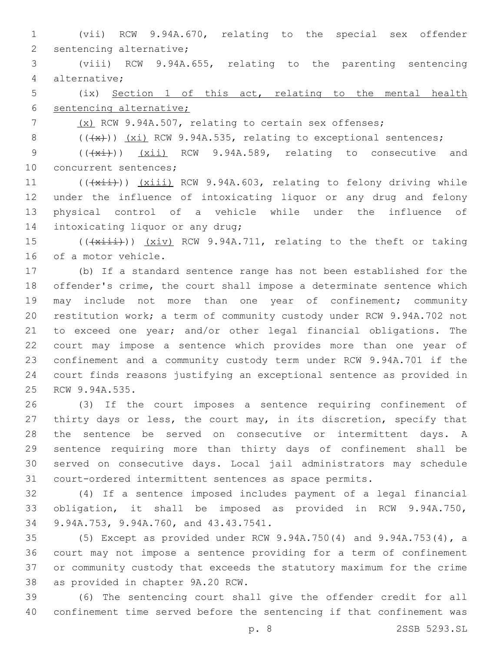(vii) RCW 9.94A.670, relating to the special sex offender 2 sentencing alternative;

 (viii) RCW 9.94A.655, relating to the parenting sentencing alternative;4

 (ix) Section 1 of this act, relating to the mental health sentencing alternative;

7 (x) RCW 9.94A.507, relating to certain sex offenses;

8  $((+x))$   $(xi)$  RCW 9.94A.535, relating to exceptional sentences;

9 (( $(xi)$ )) (xii) RCW 9.94A.589, relating to consecutive and 10 concurrent sentences;

11 (( $(xii)$ )) (xiii) RCW 9.94A.603, relating to felony driving while under the influence of intoxicating liquor or any drug and felony physical control of a vehicle while under the influence of 14 intoxicating liquor or any drug;

15 (( $\frac{1}{x\pm i}$ )) (xiv) RCW 9.94A.711, relating to the theft or taking 16 of a motor vehicle.

 (b) If a standard sentence range has not been established for the offender's crime, the court shall impose a determinate sentence which may include not more than one year of confinement; community restitution work; a term of community custody under RCW 9.94A.702 not to exceed one year; and/or other legal financial obligations. The court may impose a sentence which provides more than one year of confinement and a community custody term under RCW 9.94A.701 if the court finds reasons justifying an exceptional sentence as provided in 25 RCW 9.94A.535.

 (3) If the court imposes a sentence requiring confinement of thirty days or less, the court may, in its discretion, specify that the sentence be served on consecutive or intermittent days. A sentence requiring more than thirty days of confinement shall be served on consecutive days. Local jail administrators may schedule court-ordered intermittent sentences as space permits.

 (4) If a sentence imposed includes payment of a legal financial obligation, it shall be imposed as provided in RCW 9.94A.750, 34 9.94A.753, 9.94A.760, and 43.43.7541.

 (5) Except as provided under RCW 9.94A.750(4) and 9.94A.753(4), a court may not impose a sentence providing for a term of confinement or community custody that exceeds the statutory maximum for the crime 38 as provided in chapter 9A.20 RCW.

 (6) The sentencing court shall give the offender credit for all confinement time served before the sentencing if that confinement was

p. 8 2SSB 5293.SL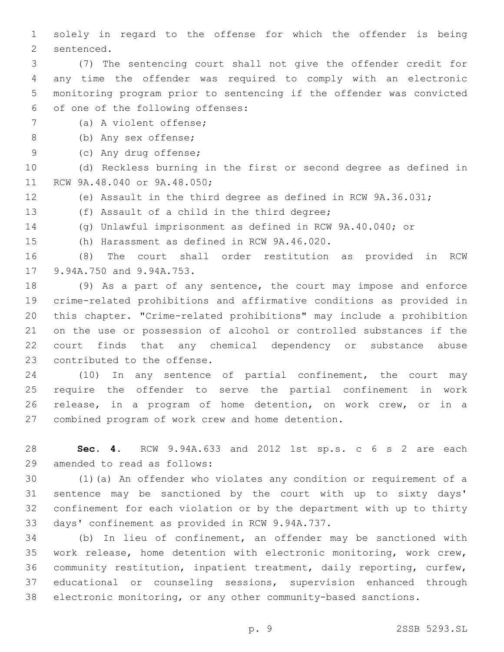solely in regard to the offense for which the offender is being 2 sentenced.

 (7) The sentencing court shall not give the offender credit for any time the offender was required to comply with an electronic monitoring program prior to sentencing if the offender was convicted 6 of one of the following offenses:

7 (a) A violent offense;

(b) Any sex offense;8

9 (c) Any drug offense;

 (d) Reckless burning in the first or second degree as defined in 11 RCW 9A.48.040 or 9A.48.050;

(e) Assault in the third degree as defined in RCW 9A.36.031;

13 (f) Assault of a child in the third degree;

(g) Unlawful imprisonment as defined in RCW 9A.40.040; or

15 (h) Harassment as defined in RCW 9A.46.020.

 (8) The court shall order restitution as provided in RCW 17 9.94A.750 and 9.94A.753.

 (9) As a part of any sentence, the court may impose and enforce crime-related prohibitions and affirmative conditions as provided in this chapter. "Crime-related prohibitions" may include a prohibition on the use or possession of alcohol or controlled substances if the court finds that any chemical dependency or substance abuse 23 contributed to the offense.

 (10) In any sentence of partial confinement, the court may require the offender to serve the partial confinement in work release, in a program of home detention, on work crew, or in a 27 combined program of work crew and home detention.

 **Sec. 4.** RCW 9.94A.633 and 2012 1st sp.s. c 6 s 2 are each 29 amended to read as follows:

 (1)(a) An offender who violates any condition or requirement of a sentence may be sanctioned by the court with up to sixty days' confinement for each violation or by the department with up to thirty 33 days' confinement as provided in RCW 9.94A.737.

 (b) In lieu of confinement, an offender may be sanctioned with work release, home detention with electronic monitoring, work crew, community restitution, inpatient treatment, daily reporting, curfew, educational or counseling sessions, supervision enhanced through electronic monitoring, or any other community-based sanctions.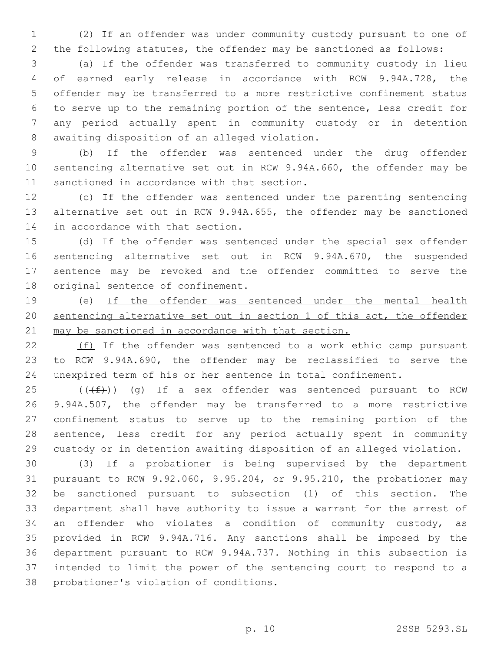(2) If an offender was under community custody pursuant to one of the following statutes, the offender may be sanctioned as follows:

 (a) If the offender was transferred to community custody in lieu of earned early release in accordance with RCW 9.94A.728, the offender may be transferred to a more restrictive confinement status to serve up to the remaining portion of the sentence, less credit for any period actually spent in community custody or in detention 8 awaiting disposition of an alleged violation.

 (b) If the offender was sentenced under the drug offender sentencing alternative set out in RCW 9.94A.660, the offender may be 11 sanctioned in accordance with that section.

 (c) If the offender was sentenced under the parenting sentencing alternative set out in RCW 9.94A.655, the offender may be sanctioned 14 in accordance with that section.

 (d) If the offender was sentenced under the special sex offender sentencing alternative set out in RCW 9.94A.670, the suspended sentence may be revoked and the offender committed to serve the 18 original sentence of confinement.

 (e) If the offender was sentenced under the mental health sentencing alternative set out in section 1 of this act, the offender may be sanctioned in accordance with that section.

 (f) If the offender was sentenced to a work ethic camp pursuant to RCW 9.94A.690, the offender may be reclassified to serve the unexpired term of his or her sentence in total confinement.

 (( $(ff)$ )) (g) If a sex offender was sentenced pursuant to RCW 9.94A.507, the offender may be transferred to a more restrictive confinement status to serve up to the remaining portion of the sentence, less credit for any period actually spent in community custody or in detention awaiting disposition of an alleged violation.

 (3) If a probationer is being supervised by the department pursuant to RCW 9.92.060, 9.95.204, or 9.95.210, the probationer may be sanctioned pursuant to subsection (1) of this section. The department shall have authority to issue a warrant for the arrest of an offender who violates a condition of community custody, as provided in RCW 9.94A.716. Any sanctions shall be imposed by the department pursuant to RCW 9.94A.737. Nothing in this subsection is intended to limit the power of the sentencing court to respond to a 38 probationer's violation of conditions.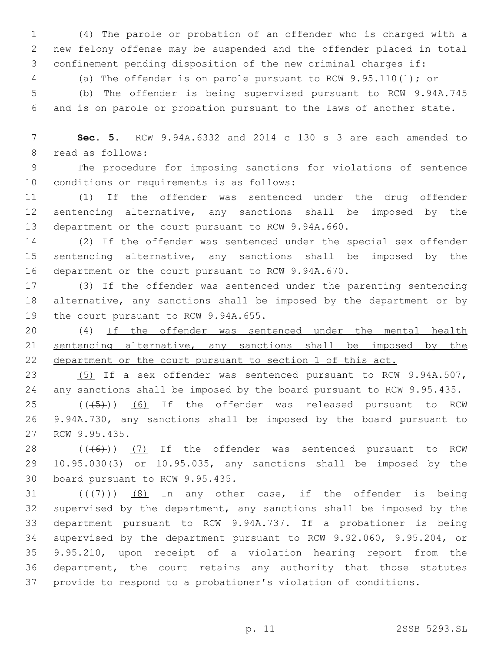(4) The parole or probation of an offender who is charged with a new felony offense may be suspended and the offender placed in total confinement pending disposition of the new criminal charges if:

(a) The offender is on parole pursuant to RCW 9.95.110(1); or

 (b) The offender is being supervised pursuant to RCW 9.94A.745 and is on parole or probation pursuant to the laws of another state.

 **Sec. 5.** RCW 9.94A.6332 and 2014 c 130 s 3 are each amended to 8 read as follows:

 The procedure for imposing sanctions for violations of sentence 10 conditions or requirements is as follows:

 (1) If the offender was sentenced under the drug offender sentencing alternative, any sanctions shall be imposed by the department or the court pursuant to RCW 9.94A.660.

 (2) If the offender was sentenced under the special sex offender sentencing alternative, any sanctions shall be imposed by the department or the court pursuant to RCW 9.94A.670.

 (3) If the offender was sentenced under the parenting sentencing alternative, any sanctions shall be imposed by the department or by 19 the court pursuant to RCW 9.94A.655.

 (4) If the offender was sentenced under the mental health sentencing alternative, any sanctions shall be imposed by the 22 department or the court pursuant to section 1 of this act.

 (5) If a sex offender was sentenced pursuant to RCW 9.94A.507, any sanctions shall be imposed by the board pursuant to RCW 9.95.435.

 ( $(\overline{(+5+)}$ ) (6) If the offender was released pursuant to RCW 9.94A.730, any sanctions shall be imposed by the board pursuant to 27 RCW 9.95.435.

 $((\text{(+6)})$  (7) If the offender was sentenced pursuant to RCW 10.95.030(3) or 10.95.035, any sanctions shall be imposed by the 30 board pursuant to RCW 9.95.435.

 $((+7+))$   $(8)$  In any other case, if the offender is being supervised by the department, any sanctions shall be imposed by the department pursuant to RCW 9.94A.737. If a probationer is being supervised by the department pursuant to RCW 9.92.060, 9.95.204, or 9.95.210, upon receipt of a violation hearing report from the department, the court retains any authority that those statutes provide to respond to a probationer's violation of conditions.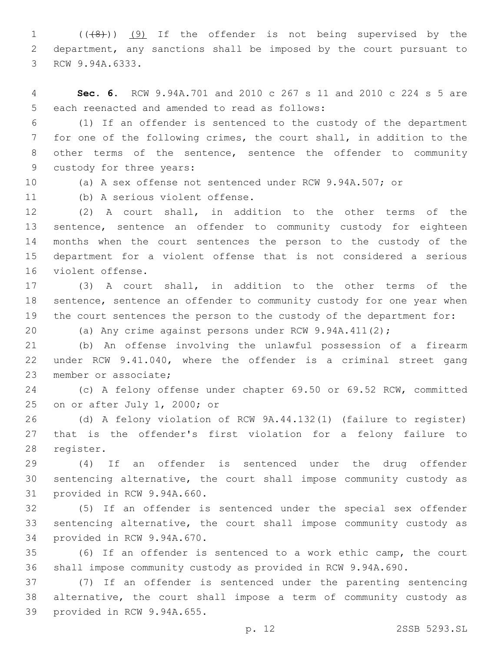1 (( $(48)$ )) (9) If the offender is not being supervised by the department, any sanctions shall be imposed by the court pursuant to 3 RCW 9.94A.6333.

 **Sec. 6.** RCW 9.94A.701 and 2010 c 267 s 11 and 2010 c 224 s 5 are 5 each reenacted and amended to read as follows:

 (1) If an offender is sentenced to the custody of the department for one of the following crimes, the court shall, in addition to the other terms of the sentence, sentence the offender to community 9 custody for three years:

(a) A sex offense not sentenced under RCW 9.94A.507; or

11 (b) A serious violent offense.

 (2) A court shall, in addition to the other terms of the sentence, sentence an offender to community custody for eighteen months when the court sentences the person to the custody of the department for a violent offense that is not considered a serious 16 violent offense.

 (3) A court shall, in addition to the other terms of the sentence, sentence an offender to community custody for one year when the court sentences the person to the custody of the department for:

(a) Any crime against persons under RCW 9.94A.411(2);

 (b) An offense involving the unlawful possession of a firearm under RCW 9.41.040, where the offender is a criminal street gang 23 member or associate;

 (c) A felony offense under chapter 69.50 or 69.52 RCW, committed 25 on or after July 1, 2000; or

 (d) A felony violation of RCW 9A.44.132(1) (failure to register) that is the offender's first violation for a felony failure to 28 register.

 (4) If an offender is sentenced under the drug offender sentencing alternative, the court shall impose community custody as 31 provided in RCW 9.94A.660.

 (5) If an offender is sentenced under the special sex offender sentencing alternative, the court shall impose community custody as 34 provided in RCW 9.94A.670.

 (6) If an offender is sentenced to a work ethic camp, the court shall impose community custody as provided in RCW 9.94A.690.

 (7) If an offender is sentenced under the parenting sentencing alternative, the court shall impose a term of community custody as 39 provided in RCW 9.94A.655.